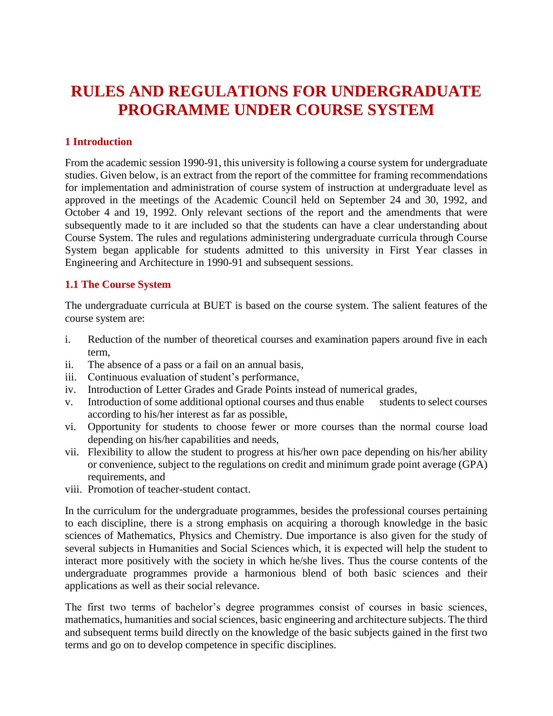# **RULES AND REGULATIONS FOR UNDERGRADUATE PROGRAMME UNDER COURSE SYSTEM**

# **1 Introduction**

From the academic session 1990-91, this university is following a course system for undergraduate studies. Given below, is an extract from the report of the committee for framing recommendations for implementation and administration of course system of instruction at undergraduate level as approved in the meetings of the Academic Council held on September 24 and 30, 1992, and October 4 and 19, 1992. Only relevant sections of the report and the amendments that were subsequently made to it are included so that the students can have a clear understanding about Course System. The rules and regulations administering undergraduate curricula through Course System began applicable for students admitted to this university in First Year classes in Engineering and Architecture in 1990-91 and subsequent sessions.

### **1.1 The Course System**

The undergraduate curricula at BUET is based on the course system. The salient features of the course system are:

- i. Reduction of the number of theoretical courses and examination papers around five in each term,
- ii. The absence of a pass or a fail on an annual basis,
- iii. Continuous evaluation of student's performance,
- iv. Introduction of Letter Grades and Grade Points instead of numerical grades,
- v. Introduction of some additional optional courses and thus enable students to select courses according to his/her interest as far as possible,
- vi. Opportunity for students to choose fewer or more courses than the normal course load depending on his/her capabilities and needs,
- vii. Flexibility to allow the student to progress at his/her own pace depending on his/her ability or convenience, subject to the regulations on credit and minimum grade point average (GPA) requirements, and
- viii. Promotion of teacher-student contact.

In the curriculum for the undergraduate programmes, besides the professional courses pertaining to each discipline, there is a strong emphasis on acquiring a thorough knowledge in the basic sciences of Mathematics, Physics and Chemistry. Due importance is also given for the study of several subjects in Humanities and Social Sciences which, it is expected will help the student to interact more positively with the society in which he/she lives. Thus the course contents of the undergraduate programmes provide a harmonious blend of both basic sciences and their applications as well as their social relevance.

The first two terms of bachelor's degree programmes consist of courses in basic sciences, mathematics, humanities and social sciences, basic engineering and architecture subjects. The third and subsequent terms build directly on the knowledge of the basic subjects gained in the first two terms and go on to develop competence in specific disciplines.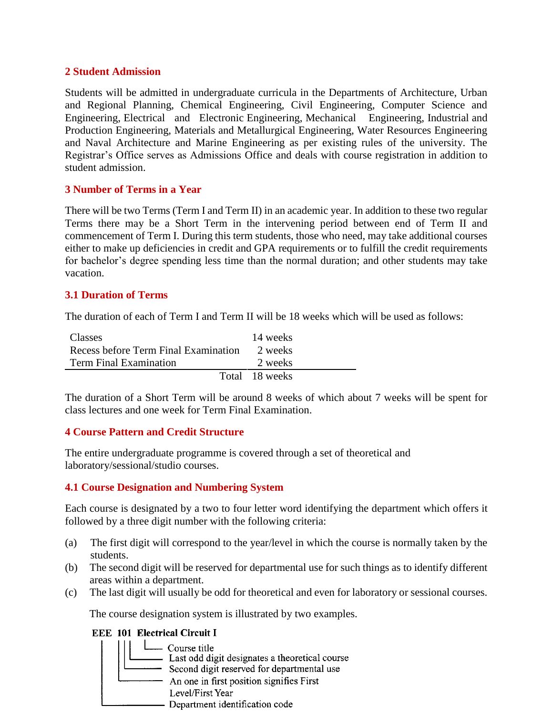## **2 Student Admission**

Students will be admitted in undergraduate curricula in the Departments of Architecture, Urban and Regional Planning, Chemical Engineering, Civil Engineering, Computer Science and Engineering, Electrical and Electronic Engineering, Mechanical Engineering, Industrial and Production Engineering, Materials and Metallurgical Engineering, Water Resources Engineering and Naval Architecture and Marine Engineering as per existing rules of the university. The Registrar's Office serves as Admissions Office and deals with course registration in addition to student admission.

## **3 Number of Terms in a Year**

There will be two Terms (Term I and Term II) in an academic year. In addition to these two regular Terms there may be a Short Term in the intervening period between end of Term II and commencement of Term I. During this term students, those who need, may take additional courses either to make up deficiencies in credit and GPA requirements or to fulfill the credit requirements for bachelor's degree spending less time than the normal duration; and other students may take vacation.

## **3.1 Duration of Terms**

The duration of each of Term I and Term II will be 18 weeks which will be used as follows:

| Classes                              | 14 weeks       |
|--------------------------------------|----------------|
| Recess before Term Final Examination | 2 weeks        |
| <b>Term Final Examination</b>        | 2 weeks        |
|                                      | Total 18 weeks |

The duration of a Short Term will be around 8 weeks of which about 7 weeks will be spent for class lectures and one week for Term Final Examination.

### **4 Course Pattern and Credit Structure**

The entire undergraduate programme is covered through a set of theoretical and laboratory/sessional/studio courses.

# **4.1 Course Designation and Numbering System**

Each course is designated by a two to four letter word identifying the department which offers it followed by a three digit number with the following criteria:

- (a) The first digit will correspond to the year/level in which the course is normally taken by the students.
- (b) The second digit will be reserved for departmental use for such things as to identify different areas within a department.
- (c) The last digit will usually be odd for theoretical and even for laboratory or sessional courses.

The course designation system is illustrated by two examples.

### **EEE 101 Electrical Circuit I**

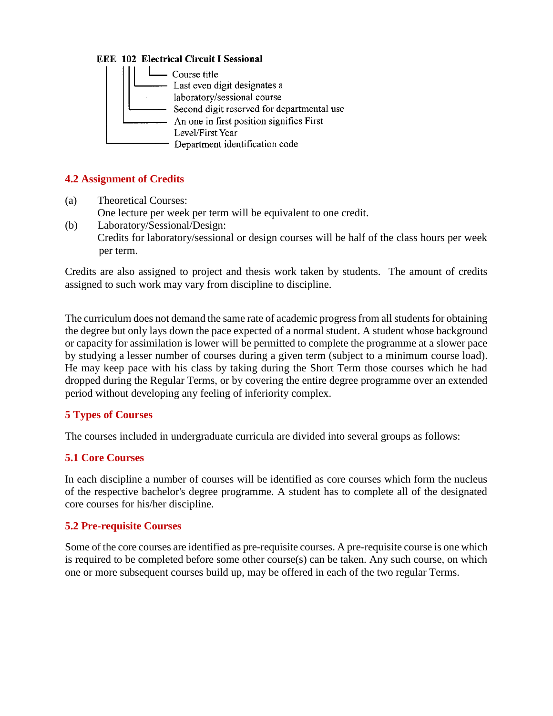## **EEE 102 Electrical Circuit I Sessional**



# **4.2 Assignment of Credits**

- (a) Theoretical Courses: One lecture per week per term will be equivalent to one credit.
- (b) Laboratory/Sessional/Design: Credits for laboratory/sessional or design courses will be half of the class hours per week per term.

Credits are also assigned to project and thesis work taken by students. The amount of credits assigned to such work may vary from discipline to discipline.

The curriculum does not demand the same rate of academic progress from all students for obtaining the degree but only lays down the pace expected of a normal student. A student whose background or capacity for assimilation is lower will be permitted to complete the programme at a slower pace by studying a lesser number of courses during a given term (subject to a minimum course load). He may keep pace with his class by taking during the Short Term those courses which he had dropped during the Regular Terms, or by covering the entire degree programme over an extended period without developing any feeling of inferiority complex.

# **5 Types of Courses**

The courses included in undergraduate curricula are divided into several groups as follows:

# **5.1 Core Courses**

In each discipline a number of courses will be identified as core courses which form the nucleus of the respective bachelor's degree programme. A student has to complete all of the designated core courses for his/her discipline.

# **5.2 Pre-requisite Courses**

Some of the core courses are identified as pre-requisite courses. A pre-requisite course is one which is required to be completed before some other course(s) can be taken. Any such course, on which one or more subsequent courses build up, may be offered in each of the two regular Terms.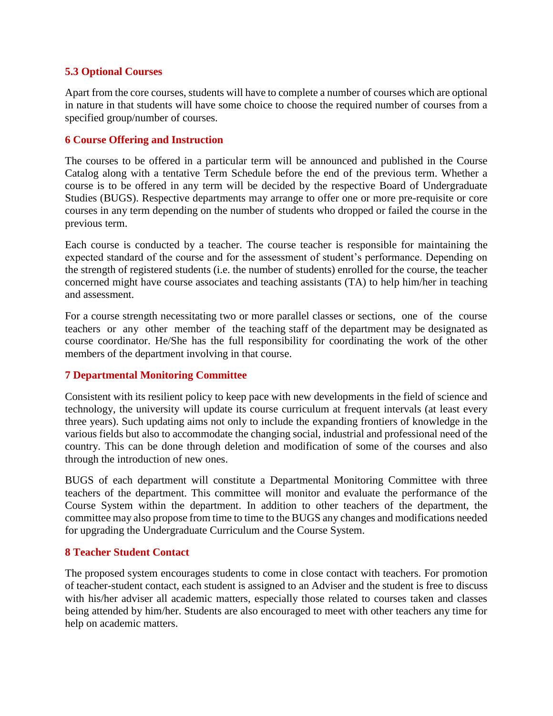# **5.3 Optional Courses**

Apart from the core courses, students will have to complete a number of courses which are optional in nature in that students will have some choice to choose the required number of courses from a specified group/number of courses.

## **6 Course Offering and Instruction**

The courses to be offered in a particular term will be announced and published in the Course Catalog along with a tentative Term Schedule before the end of the previous term. Whether a course is to be offered in any term will be decided by the respective Board of Undergraduate Studies (BUGS). Respective departments may arrange to offer one or more pre-requisite or core courses in any term depending on the number of students who dropped or failed the course in the previous term.

Each course is conducted by a teacher. The course teacher is responsible for maintaining the expected standard of the course and for the assessment of student's performance. Depending on the strength of registered students (i.e. the number of students) enrolled for the course, the teacher concerned might have course associates and teaching assistants (TA) to help him/her in teaching and assessment.

For a course strength necessitating two or more parallel classes or sections, one of the course teachers or any other member of the teaching staff of the department may be designated as course coordinator. He/She has the full responsibility for coordinating the work of the other members of the department involving in that course.

# **7 Departmental Monitoring Committee**

Consistent with its resilient policy to keep pace with new developments in the field of science and technology, the university will update its course curriculum at frequent intervals (at least every three years). Such updating aims not only to include the expanding frontiers of knowledge in the various fields but also to accommodate the changing social, industrial and professional need of the country. This can be done through deletion and modification of some of the courses and also through the introduction of new ones.

BUGS of each department will constitute a Departmental Monitoring Committee with three teachers of the department. This committee will monitor and evaluate the performance of the Course System within the department. In addition to other teachers of the department, the committee may also propose from time to time to the BUGS any changes and modifications needed for upgrading the Undergraduate Curriculum and the Course System.

### **8 Teacher Student Contact**

The proposed system encourages students to come in close contact with teachers. For promotion of teacher-student contact, each student is assigned to an Adviser and the student is free to discuss with his/her adviser all academic matters, especially those related to courses taken and classes being attended by him/her. Students are also encouraged to meet with other teachers any time for help on academic matters.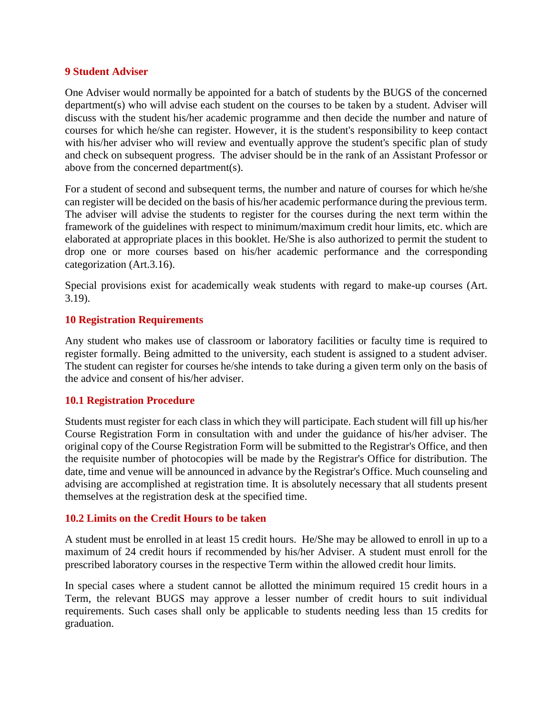#### **9 Student Adviser**

One Adviser would normally be appointed for a batch of students by the BUGS of the concerned department(s) who will advise each student on the courses to be taken by a student. Adviser will discuss with the student his/her academic programme and then decide the number and nature of courses for which he/she can register. However, it is the student's responsibility to keep contact with his/her adviser who will review and eventually approve the student's specific plan of study and check on subsequent progress. The adviser should be in the rank of an Assistant Professor or above from the concerned department(s).

For a student of second and subsequent terms, the number and nature of courses for which he/she can register will be decided on the basis of his/her academic performance during the previous term. The adviser will advise the students to register for the courses during the next term within the framework of the guidelines with respect to minimum/maximum credit hour limits, etc. which are elaborated at appropriate places in this booklet. He/She is also authorized to permit the student to drop one or more courses based on his/her academic performance and the corresponding categorization (Art.3.16).

Special provisions exist for academically weak students with regard to make-up courses (Art. 3.19).

### **10 Registration Requirements**

Any student who makes use of classroom or laboratory facilities or faculty time is required to register formally. Being admitted to the university, each student is assigned to a student adviser. The student can register for courses he/she intends to take during a given term only on the basis of the advice and consent of his/her adviser.

### **10.1 Registration Procedure**

Students must register for each class in which they will participate. Each student will fill up his/her Course Registration Form in consultation with and under the guidance of his/her adviser. The original copy of the Course Registration Form will be submitted to the Registrar's Office, and then the requisite number of photocopies will be made by the Registrar's Office for distribution. The date, time and venue will be announced in advance by the Registrar's Office. Much counseling and advising are accomplished at registration time. It is absolutely necessary that all students present themselves at the registration desk at the specified time.

### **10.2 Limits on the Credit Hours to be taken**

A student must be enrolled in at least 15 credit hours. He/She may be allowed to enroll in up to a maximum of 24 credit hours if recommended by his/her Adviser. A student must enroll for the prescribed laboratory courses in the respective Term within the allowed credit hour limits.

In special cases where a student cannot be allotted the minimum required 15 credit hours in a Term, the relevant BUGS may approve a lesser number of credit hours to suit individual requirements. Such cases shall only be applicable to students needing less than 15 credits for graduation.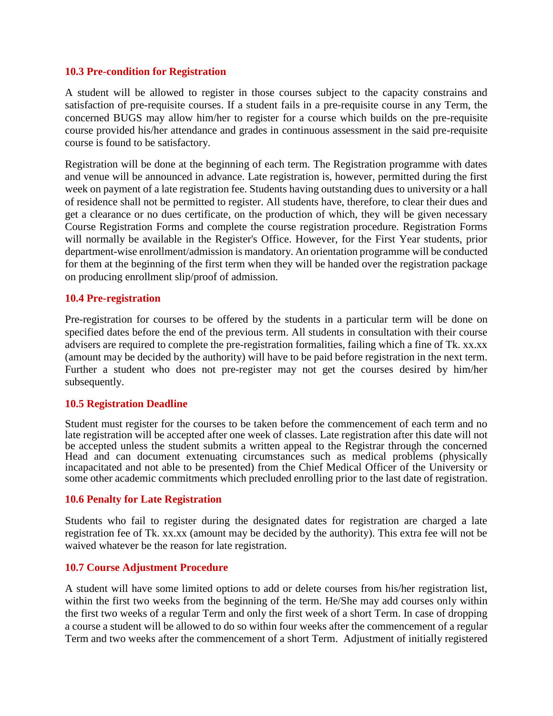#### **10.3 Pre-condition for Registration**

A student will be allowed to register in those courses subject to the capacity constrains and satisfaction of pre-requisite courses. If a student fails in a pre-requisite course in any Term, the concerned BUGS may allow him/her to register for a course which builds on the pre-requisite course provided his/her attendance and grades in continuous assessment in the said pre-requisite course is found to be satisfactory.

Registration will be done at the beginning of each term. The Registration programme with dates and venue will be announced in advance. Late registration is, however, permitted during the first week on payment of a late registration fee. Students having outstanding dues to university or a hall of residence shall not be permitted to register. All students have, therefore, to clear their dues and get a clearance or no dues certificate, on the production of which, they will be given necessary Course Registration Forms and complete the course registration procedure. Registration Forms will normally be available in the Register's Office. However, for the First Year students, prior department-wise enrollment/admission is mandatory. An orientation programme will be conducted for them at the beginning of the first term when they will be handed over the registration package on producing enrollment slip/proof of admission.

### **10.4 Pre-registration**

Pre-registration for courses to be offered by the students in a particular term will be done on specified dates before the end of the previous term. All students in consultation with their course advisers are required to complete the pre-registration formalities, failing which a fine of Tk. xx.xx (amount may be decided by the authority) will have to be paid before registration in the next term. Further a student who does not pre-register may not get the courses desired by him/her subsequently.

#### **10.5 Registration Deadline**

Student must register for the courses to be taken before the commencement of each term and no late registration will be accepted after one week of classes. Late registration after this date will not be accepted unless the student submits a written appeal to the Registrar through the concerned Head and can document extenuating circumstances such as medical problems (physically incapacitated and not able to be presented) from the Chief Medical Officer of the University or some other academic commitments which precluded enrolling prior to the last date of registration.

### **10.6 Penalty for Late Registration**

Students who fail to register during the designated dates for registration are charged a late registration fee of Tk. xx.xx (amount may be decided by the authority). This extra fee will not be waived whatever be the reason for late registration.

### **10.7 Course Adjustment Procedure**

A student will have some limited options to add or delete courses from his/her registration list, within the first two weeks from the beginning of the term. He/She may add courses only within the first two weeks of a regular Term and only the first week of a short Term. In case of dropping a course a student will be allowed to do so within four weeks after the commencement of a regular Term and two weeks after the commencement of a short Term. Adjustment of initially registered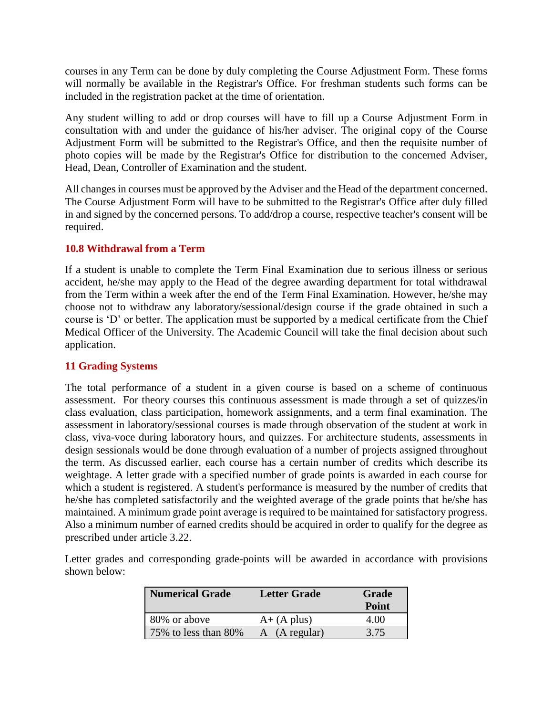courses in any Term can be done by duly completing the Course Adjustment Form. These forms will normally be available in the Registrar's Office. For freshman students such forms can be included in the registration packet at the time of orientation.

Any student willing to add or drop courses will have to fill up a Course Adjustment Form in consultation with and under the guidance of his/her adviser. The original copy of the Course Adjustment Form will be submitted to the Registrar's Office, and then the requisite number of photo copies will be made by the Registrar's Office for distribution to the concerned Adviser, Head, Dean, Controller of Examination and the student.

All changes in courses must be approved by the Adviser and the Head of the department concerned. The Course Adjustment Form will have to be submitted to the Registrar's Office after duly filled in and signed by the concerned persons. To add/drop a course, respective teacher's consent will be required.

## **10.8 Withdrawal from a Term**

If a student is unable to complete the Term Final Examination due to serious illness or serious accident, he/she may apply to the Head of the degree awarding department for total withdrawal from the Term within a week after the end of the Term Final Examination. However, he/she may choose not to withdraw any laboratory/sessional/design course if the grade obtained in such a course is 'D' or better. The application must be supported by a medical certificate from the Chief Medical Officer of the University. The Academic Council will take the final decision about such application.

# **11 Grading Systems**

The total performance of a student in a given course is based on a scheme of continuous assessment. For theory courses this continuous assessment is made through a set of quizzes/in class evaluation, class participation, homework assignments, and a term final examination. The assessment in laboratory/sessional courses is made through observation of the student at work in class, viva-voce during laboratory hours, and quizzes. For architecture students, assessments in design sessionals would be done through evaluation of a number of projects assigned throughout the term. As discussed earlier, each course has a certain number of credits which describe its weightage. A letter grade with a specified number of grade points is awarded in each course for which a student is registered. A student's performance is measured by the number of credits that he/she has completed satisfactorily and the weighted average of the grade points that he/she has maintained. A minimum grade point average is required to be maintained for satisfactory progress. Also a minimum number of earned credits should be acquired in order to qualify for the degree as prescribed under article 3.22.

Letter grades and corresponding grade-points will be awarded in accordance with provisions shown below:

| Numerical Grade      | <b>Letter Grade</b> | Grade<br>Point |
|----------------------|---------------------|----------------|
| 80% or above         | $A+ (A plus)$       | 4.00           |
| 75% to less than 80% | A (A regular)       | 3.75           |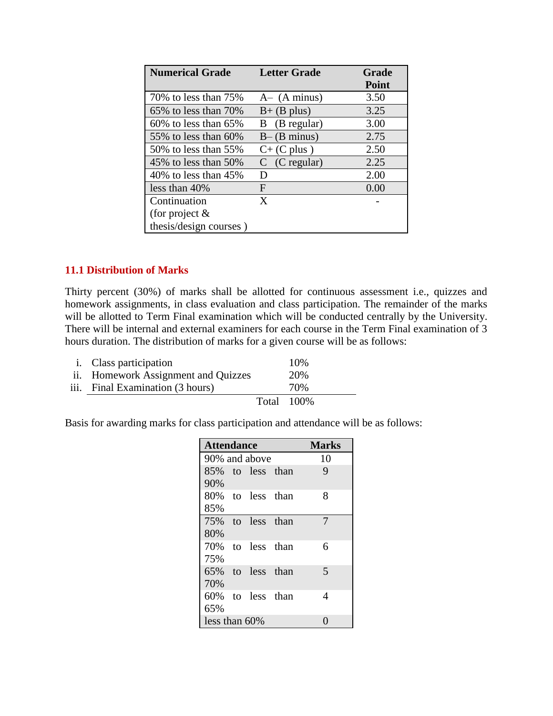| <b>Numerical Grade</b>     | <b>Letter Grade</b> | Grade        |
|----------------------------|---------------------|--------------|
|                            |                     | <b>Point</b> |
| 70% to less than 75%       | $A - (A minus)$     | 3.50         |
| 65% to less than 70%       | $B+$ (B plus)       | 3.25         |
| $60\%$ to less than $65\%$ | B (B regular)       | 3.00         |
| 55\% to less than $60\%$   | $B - (B minus)$     | 2.75         |
| 50\% to less than 55\%     | $C+$ (C plus)       | 2.50         |
| 45% to less than $50\%$    | $C$ (C regular)     | 2.25         |
| $40\%$ to less than $45\%$ | D                   | 2.00         |
| less than $40\%$           | F                   | 0.00         |
| Continuation               | X                   |              |
| (for project $\&$          |                     |              |
| thesis/design courses)     |                     |              |

## **11.1 Distribution of Marks**

Thirty percent (30%) of marks shall be allotted for continuous assessment i.e., quizzes and homework assignments, in class evaluation and class participation. The remainder of the marks will be allotted to Term Final examination which will be conducted centrally by the University. There will be internal and external examiners for each course in the Term Final examination of 3 hours duration. The distribution of marks for a given course will be as follows:

| <i>i.</i> Class participation       |             | 10% |
|-------------------------------------|-------------|-----|
| ii. Homework Assignment and Quizzes |             | 20% |
| iii. Final Examination (3 hours)    |             | 70% |
|                                     | Total 100\% |     |

Basis for awarding marks for class participation and attendance will be as follows:

| <b>Attendance</b> |  |                  |  | <b>Marks</b> |
|-------------------|--|------------------|--|--------------|
| 90% and above     |  |                  |  | 10           |
|                   |  | 85% to less than |  | 9            |
| 90%               |  |                  |  |              |
|                   |  | 80% to less than |  | 8            |
| 85%               |  |                  |  |              |
|                   |  | 75% to less than |  | 7            |
| 80%               |  |                  |  |              |
| 70%               |  | to less than     |  | 6            |
| 75%               |  |                  |  |              |
|                   |  | 65% to less than |  | 5            |
| 70%               |  |                  |  |              |
|                   |  | 60% to less than |  | 4            |
| 65%               |  |                  |  |              |
| less than $60\%$  |  |                  |  |              |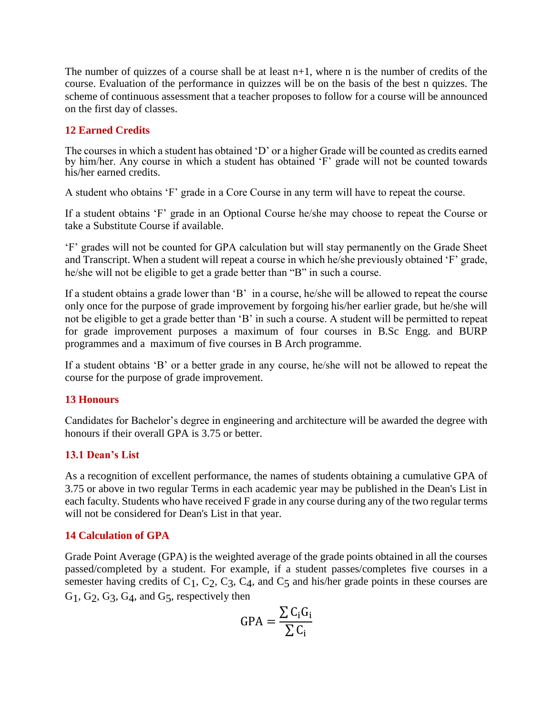The number of quizzes of a course shall be at least  $n+1$ , where n is the number of credits of the course. Evaluation of the performance in quizzes will be on the basis of the best n quizzes. The scheme of continuous assessment that a teacher proposes to follow for a course will be announced on the first day of classes.

# **12 Earned Credits**

The courses in which a student has obtained 'D' or a higher Grade will be counted as credits earned by him/her. Any course in which a student has obtained 'F' grade will not be counted towards his/her earned credits.

A student who obtains 'F' grade in a Core Course in any term will have to repeat the course.

If a student obtains 'F' grade in an Optional Course he/she may choose to repeat the Course or take a Substitute Course if available.

'F' grades will not be counted for GPA calculation but will stay permanently on the Grade Sheet and Transcript. When a student will repeat a course in which he/she previously obtained 'F' grade, he/she will not be eligible to get a grade better than "B" in such a course.

If a student obtains a grade lower than 'B' in a course, he/she will be allowed to repeat the course only once for the purpose of grade improvement by forgoing his/her earlier grade, but he/she will not be eligible to get a grade better than 'B' in such a course. A student will be permitted to repeat for grade improvement purposes a maximum of four courses in B.Sc Engg. and BURP programmes and a maximum of five courses in B Arch programme.

If a student obtains 'B' or a better grade in any course, he/she will not be allowed to repeat the course for the purpose of grade improvement.

# **13 Honours**

Candidates for Bachelor's degree in engineering and architecture will be awarded the degree with honours if their overall GPA is 3.75 or better.

# **13.1 Dean's List**

As a recognition of excellent performance, the names of students obtaining a cumulative GPA of 3.75 or above in two regular Terms in each academic year may be published in the Dean's List in each faculty. Students who have received F grade in any course during any of the two regular terms will not be considered for Dean's List in that year.

# **14 Calculation of GPA**

Grade Point Average (GPA) is the weighted average of the grade points obtained in all the courses passed/completed by a student. For example, if a student passes/completes five courses in a semester having credits of  $C_1$ ,  $C_2$ ,  $C_3$ ,  $C_4$ , and  $C_5$  and his/her grade points in these courses are G<sub>1</sub>, G<sub>2</sub>, G<sub>3</sub>, G<sub>4</sub>, and G<sub>5</sub>, respectively then

$$
GPA = \frac{\sum C_i G_i}{\sum C_i}
$$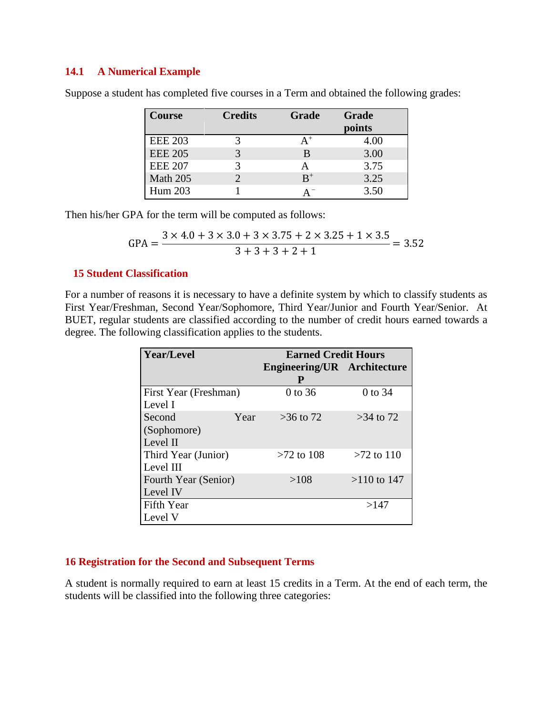## **14.1 A Numerical Example**

| <b>Course</b>  | <b>Credits</b> | Grade | Grade<br>points |
|----------------|----------------|-------|-----------------|
| <b>EEE 203</b> |                |       | 4.00            |
| <b>EEE 205</b> |                | В     | 3.00            |
| <b>EEE 207</b> |                |       | 3.75            |
| Math 205       |                | $B^+$ | 3.25            |
| Hum 203        |                | A     | 3.50            |

Suppose a student has completed five courses in a Term and obtained the following grades:

Then his/her GPA for the term will be computed as follows:

$$
GPA = \frac{3 \times 4.0 + 3 \times 3.0 + 3 \times 3.75 + 2 \times 3.25 + 1 \times 3.5}{3 + 3 + 3 + 2 + 1} = 3.52
$$

### **15 Student Classification**

For a number of reasons it is necessary to have a definite system by which to classify students as First Year/Freshman, Second Year/Sophomore, Third Year/Junior and Fourth Year/Senior. At BUET, regular students are classified according to the number of credit hours earned towards a degree. The following classification applies to the students.

| <b>Year/Level</b>            |      | <b>Earned Credit Hours</b>         |               |  |
|------------------------------|------|------------------------------------|---------------|--|
|                              |      | <b>Engineering/UR</b> Architecture |               |  |
|                              |      | P                                  |               |  |
| <b>First Year (Freshman)</b> |      | 0 to 36                            | 0 to 34       |  |
| Level I                      |      |                                    |               |  |
| Second                       | Year | $>36$ to 72                        | $>34$ to 72   |  |
| (Sophomore)                  |      |                                    |               |  |
| Level II                     |      |                                    |               |  |
| Third Year (Junior)          |      | $>72$ to 108                       | $>72$ to 110  |  |
| Level III                    |      |                                    |               |  |
| <b>Fourth Year (Senior)</b>  |      | >108                               | $>110$ to 147 |  |
| Level IV                     |      |                                    |               |  |
| Fifth Year                   |      |                                    | >147          |  |
| Level V                      |      |                                    |               |  |

## **16 Registration for the Second and Subsequent Terms**

A student is normally required to earn at least 15 credits in a Term. At the end of each term, the students will be classified into the following three categories: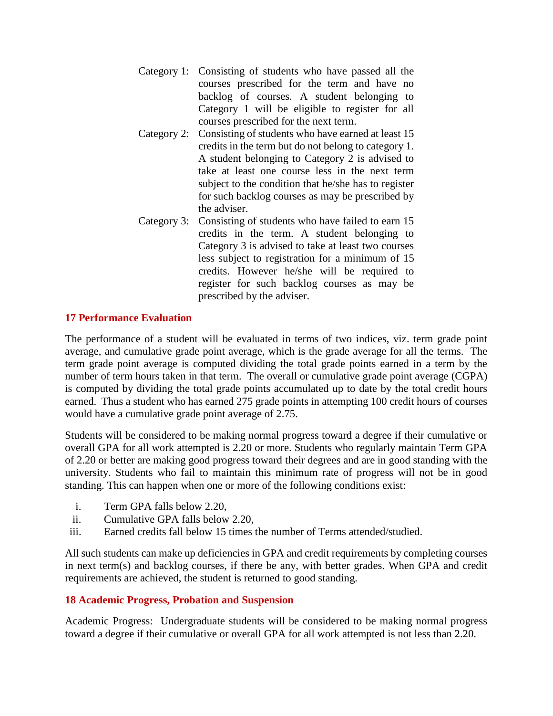- Category 1: Consisting of students who have passed all the courses prescribed for the term and have no backlog of courses. A student belonging to Category 1 will be eligible to register for all courses prescribed for the next term.
- Category 2: Consisting of students who have earned at least 15 credits in the term but do not belong to category 1. A student belonging to Category 2 is advised to take at least one course less in the next term subject to the condition that he/she has to register for such backlog courses as may be prescribed by the adviser.
- Category 3: Consisting of students who have failed to earn 15 credits in the term. A student belonging to Category 3 is advised to take at least two courses less subject to registration for a minimum of 15 credits. However he/she will be required to register for such backlog courses as may be prescribed by the adviser.

# **17 Performance Evaluation**

The performance of a student will be evaluated in terms of two indices, viz. term grade point average, and cumulative grade point average, which is the grade average for all the terms. The term grade point average is computed dividing the total grade points earned in a term by the number of term hours taken in that term. The overall or cumulative grade point average (CGPA) is computed by dividing the total grade points accumulated up to date by the total credit hours earned. Thus a student who has earned 275 grade points in attempting 100 credit hours of courses would have a cumulative grade point average of 2.75.

Students will be considered to be making normal progress toward a degree if their cumulative or overall GPA for all work attempted is 2.20 or more. Students who regularly maintain Term GPA of 2.20 or better are making good progress toward their degrees and are in good standing with the university. Students who fail to maintain this minimum rate of progress will not be in good standing. This can happen when one or more of the following conditions exist:

- i. Term GPA falls below 2.20,
- ii. Cumulative GPA falls below 2.20,
- iii. Earned credits fall below 15 times the number of Terms attended/studied.

All such students can make up deficiencies in GPA and credit requirements by completing courses in next term(s) and backlog courses, if there be any, with better grades. When GPA and credit requirements are achieved, the student is returned to good standing.

### **18 Academic Progress, Probation and Suspension**

Academic Progress: Undergraduate students will be considered to be making normal progress toward a degree if their cumulative or overall GPA for all work attempted is not less than 2.20.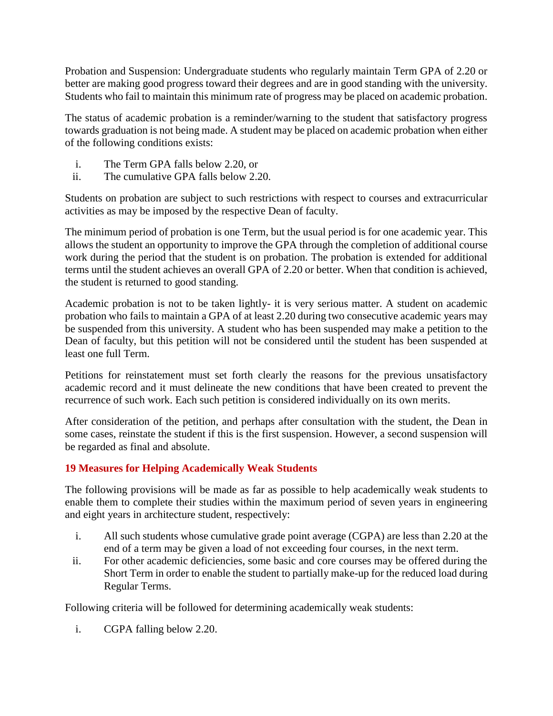Probation and Suspension: Undergraduate students who regularly maintain Term GPA of 2.20 or better are making good progress toward their degrees and are in good standing with the university. Students who fail to maintain this minimum rate of progress may be placed on academic probation.

The status of academic probation is a reminder/warning to the student that satisfactory progress towards graduation is not being made. A student may be placed on academic probation when either of the following conditions exists:

- i. The Term GPA falls below 2.20, or
- ii. The cumulative GPA falls below 2.20.

Students on probation are subject to such restrictions with respect to courses and extracurricular activities as may be imposed by the respective Dean of faculty.

The minimum period of probation is one Term, but the usual period is for one academic year. This allows the student an opportunity to improve the GPA through the completion of additional course work during the period that the student is on probation. The probation is extended for additional terms until the student achieves an overall GPA of 2.20 or better. When that condition is achieved, the student is returned to good standing.

Academic probation is not to be taken lightly- it is very serious matter. A student on academic probation who fails to maintain a GPA of at least 2.20 during two consecutive academic years may be suspended from this university. A student who has been suspended may make a petition to the Dean of faculty, but this petition will not be considered until the student has been suspended at least one full Term.

Petitions for reinstatement must set forth clearly the reasons for the previous unsatisfactory academic record and it must delineate the new conditions that have been created to prevent the recurrence of such work. Each such petition is considered individually on its own merits.

After consideration of the petition, and perhaps after consultation with the student, the Dean in some cases, reinstate the student if this is the first suspension. However, a second suspension will be regarded as final and absolute.

# **19 Measures for Helping Academically Weak Students**

The following provisions will be made as far as possible to help academically weak students to enable them to complete their studies within the maximum period of seven years in engineering and eight years in architecture student, respectively:

- i. All such students whose cumulative grade point average (CGPA) are less than 2.20 at the end of a term may be given a load of not exceeding four courses, in the next term.
- ii. For other academic deficiencies, some basic and core courses may be offered during the Short Term in order to enable the student to partially make-up for the reduced load during Regular Terms.

Following criteria will be followed for determining academically weak students:

i. CGPA falling below 2.20.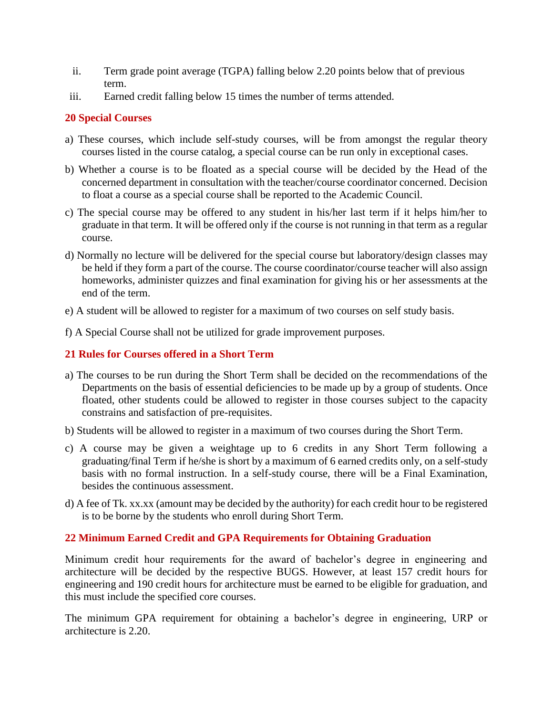- ii. Term grade point average (TGPA) falling below 2.20 points below that of previous term.
- iii. Earned credit falling below 15 times the number of terms attended.

## **20 Special Courses**

- a) These courses, which include self-study courses, will be from amongst the regular theory courses listed in the course catalog, a special course can be run only in exceptional cases.
- b) Whether a course is to be floated as a special course will be decided by the Head of the concerned department in consultation with the teacher/course coordinator concerned. Decision to float a course as a special course shall be reported to the Academic Council.
- c) The special course may be offered to any student in his/her last term if it helps him/her to graduate in that term. It will be offered only if the course is not running in that term as a regular course.
- d) Normally no lecture will be delivered for the special course but laboratory/design classes may be held if they form a part of the course. The course coordinator/course teacher will also assign homeworks, administer quizzes and final examination for giving his or her assessments at the end of the term.
- e) A student will be allowed to register for a maximum of two courses on self study basis.
- f) A Special Course shall not be utilized for grade improvement purposes.

# **21 Rules for Courses offered in a Short Term**

- a) The courses to be run during the Short Term shall be decided on the recommendations of the Departments on the basis of essential deficiencies to be made up by a group of students. Once floated, other students could be allowed to register in those courses subject to the capacity constrains and satisfaction of pre-requisites.
- b) Students will be allowed to register in a maximum of two courses during the Short Term.
- c) A course may be given a weightage up to 6 credits in any Short Term following a graduating/final Term if he/she is short by a maximum of 6 earned credits only, on a self-study basis with no formal instruction. In a self-study course, there will be a Final Examination, besides the continuous assessment.
- d) A fee of Tk. xx.xx (amount may be decided by the authority) for each credit hour to be registered is to be borne by the students who enroll during Short Term.

# **22 Minimum Earned Credit and GPA Requirements for Obtaining Graduation**

Minimum credit hour requirements for the award of bachelor's degree in engineering and architecture will be decided by the respective BUGS. However, at least 157 credit hours for engineering and 190 credit hours for architecture must be earned to be eligible for graduation, and this must include the specified core courses.

The minimum GPA requirement for obtaining a bachelor's degree in engineering, URP or architecture is 2.20.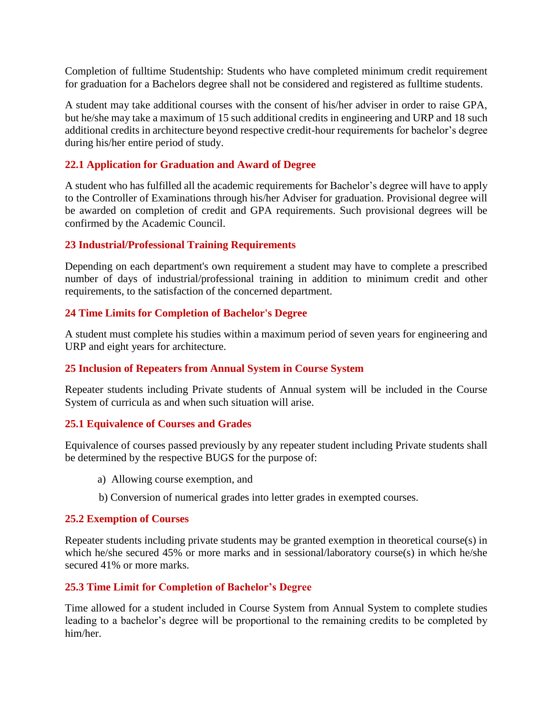Completion of fulltime Studentship: Students who have completed minimum credit requirement for graduation for a Bachelors degree shall not be considered and registered as fulltime students.

A student may take additional courses with the consent of his/her adviser in order to raise GPA, but he/she may take a maximum of 15 such additional credits in engineering and URP and 18 such additional credits in architecture beyond respective credit-hour requirements for bachelor's degree during his/her entire period of study.

## **22.1 Application for Graduation and Award of Degree**

A student who has fulfilled all the academic requirements for Bachelor's degree will have to apply to the Controller of Examinations through his/her Adviser for graduation. Provisional degree will be awarded on completion of credit and GPA requirements. Such provisional degrees will be confirmed by the Academic Council.

### **23 Industrial/Professional Training Requirements**

Depending on each department's own requirement a student may have to complete a prescribed number of days of industrial/professional training in addition to minimum credit and other requirements, to the satisfaction of the concerned department.

## **24 Time Limits for Completion of Bachelor's Degree**

A student must complete his studies within a maximum period of seven years for engineering and URP and eight years for architecture.

### **25 Inclusion of Repeaters from Annual System in Course System**

Repeater students including Private students of Annual system will be included in the Course System of curricula as and when such situation will arise.

### **25.1 Equivalence of Courses and Grades**

Equivalence of courses passed previously by any repeater student including Private students shall be determined by the respective BUGS for the purpose of:

- a) Allowing course exemption, and
- b) Conversion of numerical grades into letter grades in exempted courses.

### **25.2 Exemption of Courses**

Repeater students including private students may be granted exemption in theoretical course(s) in which he/she secured 45% or more marks and in sessional/laboratory course(s) in which he/she secured 41% or more marks.

### **25.3 Time Limit for Completion of Bachelor's Degree**

Time allowed for a student included in Course System from Annual System to complete studies leading to a bachelor's degree will be proportional to the remaining credits to be completed by him/her.